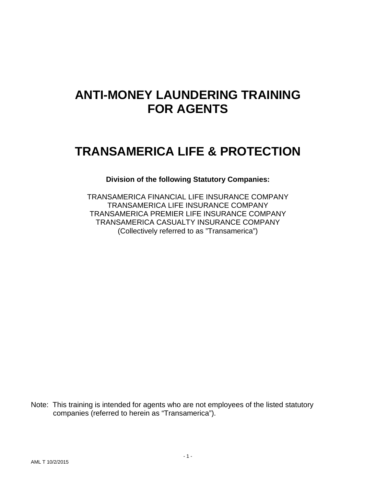# **ANTI-MONEY LAUNDERING TRAINING FOR AGENTS**

# **TRANSAMERICA LIFE & PROTECTION**

### **Division of the following Statutory Companies:**

TRANSAMERICA FINANCIAL LIFE INSURANCE COMPANY TRANSAMERICA LIFE INSURANCE COMPANY TRANSAMERICA PREMIER LIFE INSURANCE COMPANY TRANSAMERICA CASUALTY INSURANCE COMPANY (Collectively referred to as "Transamerica")

Note: This training is intended for agents who are not employees of the listed statutory companies (referred to herein as "Transamerica").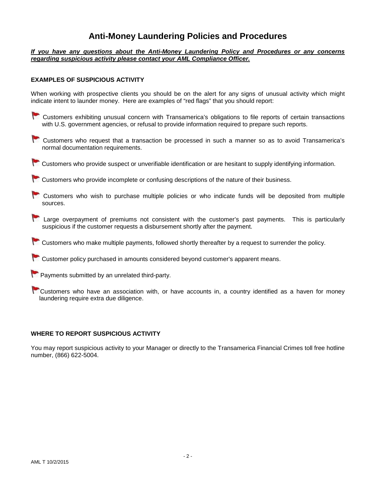### **Anti-Money Laundering Policies and Procedures**

#### *If you have any questions about the Anti-Money Laundering Policy and Procedures or any concerns regarding suspicious activity please contact your AML Compliance Officer.*

#### **EXAMPLES OF SUSPICIOUS ACTIVITY**

When working with prospective clients you should be on the alert for any signs of unusual activity which might indicate intent to launder money. Here are examples of "red flags" that you should report:

- Customers exhibiting unusual concern with Transamerica's obligations to file reports of certain transactions with U.S. government agencies, or refusal to provide information required to prepare such reports.
- Customers who request that a transaction be processed in such a manner so as to avoid Transamerica's normal documentation requirements.
- Customers who provide suspect or unverifiable identification or are hesitant to supply identifying information.

 $\triangleright$  Customers who provide incomplete or confusing descriptions of the nature of their business.

- Customers who wish to purchase multiple policies or who indicate funds will be deposited from multiple sources.
- Large overpayment of premiums not consistent with the customer's past payments. This is particularly suspicious if the customer requests a disbursement shortly after the payment.
- Customers who make multiple payments, followed shortly thereafter by a request to surrender the policy.
- $\Box$  Customer policy purchased in amounts considered beyond customer's apparent means.
- **Payments submitted by an unrelated third-party.**
- Customers who have an association with, or have accounts in, a country identified as a haven for money laundering require extra due diligence.

#### **WHERE TO REPORT SUSPICIOUS ACTIVITY**

You may report suspicious activity to your Manager or directly to the Transamerica Financial Crimes toll free hotline number, (866) 622-5004.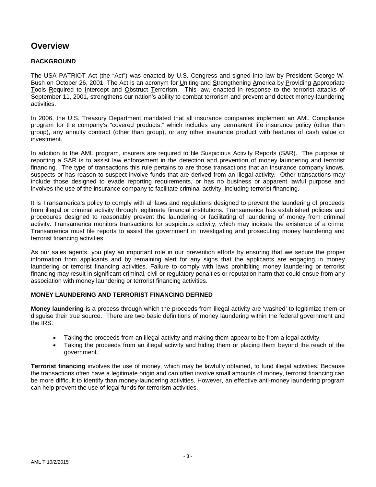## **Overview**

#### **BACKGROUND**

The USA PATRIOT Act (the "Act") was enacted by U.S. Congress and signed into law by President George W. Bush on October 26, 2001. The Act is an acronym for Uniting and Strengthening America by Providing Appropriate Tools Required to Intercept and Obstruct Terrorism. This law, enacted in response to the terrorist attacks of September 11, 2001, strengthens our nation's ability to combat terrorism and prevent and detect money-laundering activities.

In 2006, the U.S. Treasury Department mandated that all insurance companies implement an AML Compliance program for the company's "covered products," which includes any permanent life insurance policy (other than group), any annuity contract (other than group), or any other insurance product with features of cash value or investment.

In addition to the AML program, insurers are required to file Suspicious Activity Reports (SAR). The purpose of reporting a SAR is to assist law enforcement in the detection and prevention of money laundering and terrorist financing. The type of transactions this rule pertains to are those transactions that an insurance company knows, suspects or has reason to suspect involve funds that are derived from an illegal activity. Other transactions may include those designed to evade reporting requirements, or has no business or apparent lawful purpose and involves the use of the insurance company to facilitate criminal activity, including terrorist financing.

It is Transamerica's policy to comply with all laws and regulations designed to prevent the laundering of proceeds from illegal or criminal activity through legitimate financial institutions. Transamerica has established policies and procedures designed to reasonably prevent the laundering or facilitating of laundering of money from criminal activity. Transamerica monitors transactions for suspicious activity, which may indicate the existence of a crime. Transamerica must file reports to assist the government in investigating and prosecuting money laundering and terrorist financing activities.

As our sales agents, you play an important role in our prevention efforts by ensuring that we secure the proper information from applicants and by remaining alert for any signs that the applicants are engaging in money laundering or terrorist financing activities. Failure to comply with laws prohibiting money laundering or terrorist financing may result in significant criminal, civil or regulatory penalties or reputation harm that could ensue from any association with money laundering or terrorist financing activities.

#### **MONEY LAUNDERING AND TERRORIST FINANCING DEFINED**

**Money laundering** is a process through which the proceeds from illegal activity are 'washed' to legitimize them or disguise their true source. There are two basic definitions of money laundering within the federal government and the IRS:

- Taking the proceeds from an illegal activity and making them appear to be from a legal activity.
- Taking the proceeds from an illegal activity and hiding them or placing them beyond the reach of the government.

**Terrorist financing** involves the use of money, which may be lawfully obtained, to fund illegal activities. Because the transactions often have a legitimate origin and can often involve small amounts of money, terrorist financing can be more difficult to identify than money-laundering activities. However, an effective anti-money laundering program can help prevent the use of legal funds for terrorism activities.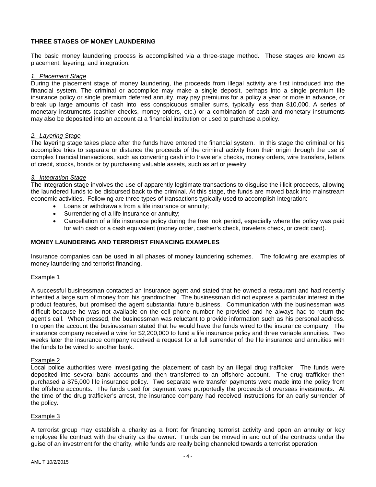#### **THREE STAGES OF MONEY LAUNDERING**

The basic money laundering process is accomplished via a three-stage method. These stages are known as placement, layering, and integration.

#### *1. Placement Stage*

During the placement stage of money laundering, the proceeds from illegal activity are first introduced into the financial system. The criminal or accomplice may make a single deposit, perhaps into a single premium life insurance policy or single premium deferred annuity, may pay premiums for a policy a year or more in advance, or break up large amounts of cash into less conspicuous smaller sums, typically less than \$10,000. A series of monetary instruments (cashier checks, money orders, etc.) or a combination of cash and monetary instruments may also be deposited into an account at a financial institution or used to purchase a policy.

#### *2. Layering Stage*

The layering stage takes place after the funds have entered the financial system. In this stage the criminal or his accomplice tries to separate or distance the proceeds of the criminal activity from their origin through the use of complex financial transactions, such as converting cash into traveler's checks, money orders, wire transfers, letters of credit, stocks, bonds or by purchasing valuable assets, such as art or jewelry.

#### *3. Integration Stage*

The integration stage involves the use of apparently legitimate transactions to disguise the illicit proceeds, allowing the laundered funds to be disbursed back to the criminal. At this stage, the funds are moved back into mainstream economic activities. Following are three types of transactions typically used to accomplish integration:

- Loans or withdrawals from a life insurance or annuity;
- Surrendering of a life insurance or annuity;
- Cancellation of a life insurance policy during the free look period, especially where the policy was paid for with cash or a cash equivalent (money order, cashier's check, travelers check, or credit card).

#### **MONEY LAUNDERING AND TERRORIST FINANCING EXAMPLES**

Insurance companies can be used in all phases of money laundering schemes. The following are examples of money laundering and terrorist financing.

#### Example 1

A successful businessman contacted an insurance agent and stated that he owned a restaurant and had recently inherited a large sum of money from his grandmother. The businessman did not express a particular interest in the product features, but promised the agent substantial future business. Communication with the businessman was difficult because he was not available on the cell phone number he provided and he always had to return the agent's call. When pressed, the businessman was reluctant to provide information such as his personal address. To open the account the businessman stated that he would have the funds wired to the insurance company. The insurance company received a wire for \$2,200,000 to fund a life insurance policy and three variable annuities. Two weeks later the insurance company received a request for a full surrender of the life insurance and annuities with the funds to be wired to another bank.

#### Example 2

Local police authorities were investigating the placement of cash by an illegal drug trafficker. The funds were deposited into several bank accounts and then transferred to an offshore account. The drug trafficker then purchased a \$75,000 life insurance policy. Two separate wire transfer payments were made into the policy from the offshore accounts. The funds used for payment were purportedly the proceeds of overseas investments. At the time of the drug trafficker's arrest, the insurance company had received instructions for an early surrender of the policy.

#### Example 3

A terrorist group may establish a charity as a front for financing terrorist activity and open an annuity or key employee life contract with the charity as the owner. Funds can be moved in and out of the contracts under the guise of an investment for the charity, while funds are really being channeled towards a terrorist operation.